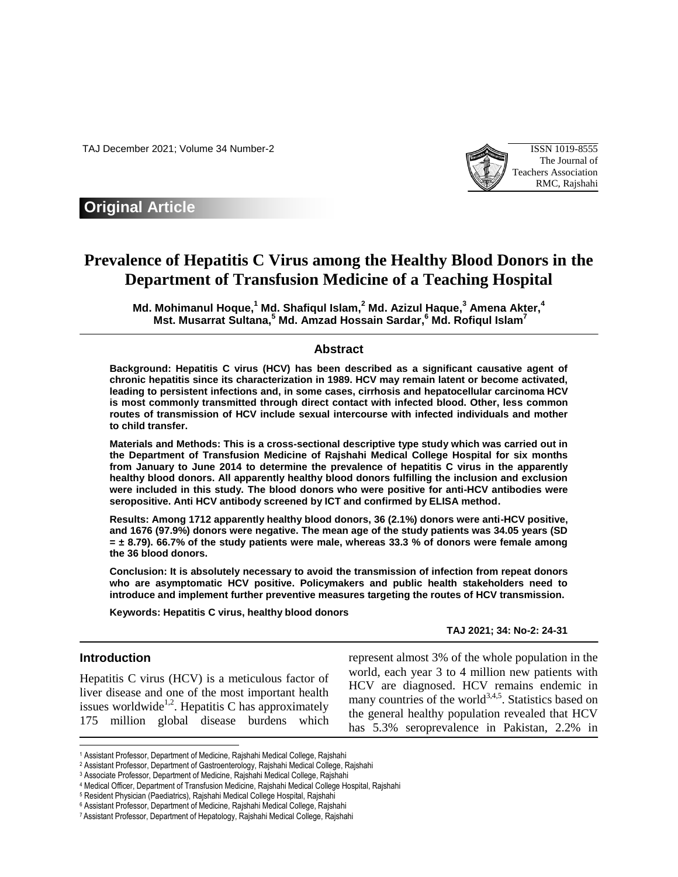TAJ December 2021; Volume 34 Number-2 ISSN 1019-8555



## **Original Article**

# **Prevalence of Hepatitis C Virus among the Healthy Blood Donors in the Department of Transfusion Medicine of a Teaching Hospital**

**Md. Mohimanul Hoque, <sup>1</sup> Md. Shafiqul Islam, <sup>2</sup> Md. Azizul Haque, <sup>3</sup> Amena Akter, 4 Mst. Musarrat Sultana, <sup>5</sup> Md. Amzad Hossain Sardar, <sup>6</sup> Md. Rofiqul Islam<sup>7</sup>**

#### **Abstract**

**Background: Hepatitis C virus (HCV) has been described as a significant causative agent of chronic hepatitis since its characterization in 1989. HCV may remain latent or become activated, leading to persistent infections and, in some cases, cirrhosis and hepatocellular carcinoma HCV is most commonly transmitted through direct contact with infected blood. Other, less common routes of transmission of HCV include sexual intercourse with infected individuals and mother to child transfer.**

**Materials and Methods: This is a cross-sectional descriptive type study which was carried out in the Department of Transfusion Medicine of Rajshahi Medical College Hospital for six months from January to June 2014 to determine the prevalence of hepatitis C virus in the apparently healthy blood donors. All apparently healthy blood donors fulfilling the inclusion and exclusion were included in this study. The blood donors who were positive for anti-HCV antibodies were seropositive. Anti HCV antibody screened by ICT and confirmed by ELISA method.**

**Results: Among 1712 apparently healthy blood donors, 36 (2.1%) donors were anti-HCV positive, and 1676 (97.9%) donors were negative. The mean age of the study patients was 34.05 years (SD = ± 8.79). 66.7% of the study patients were male, whereas 33.3 % of donors were female among the 36 blood donors.** 

**Conclusion: It is absolutely necessary to avoid the transmission of infection from repeat donors who are asymptomatic HCV positive. Policymakers and public health stakeholders need to introduce and implement further preventive measures targeting the routes of HCV transmission.**

**Keywords: Hepatitis C virus, healthy blood donors**

**TAJ 2021; 34: No-2: 24-31**

### **Introduction**

 $\overline{a}$ 

Hepatitis C virus (HCV) is a meticulous factor of liver disease and one of the most important health issues worldwide<sup>1,2</sup>. Hepatitis C has approximately 175 million global disease burdens which represent almost 3% of the whole population in the world, each year 3 to 4 million new patients with HCV are diagnosed. HCV remains endemic in many countries of the world<sup>3,4,5</sup>. Statistics based on the general healthy population revealed that HCV has 5.3% seroprevalence in Pakistan, 2.2% in

<sup>1</sup> Assistant Professor, Department of Medicine, Rajshahi Medical College, Rajshahi

<sup>2</sup> Assistant Professor, Department of Gastroenterology, Rajshahi Medical College, Rajshahi

<sup>3</sup> Associate Professor, Department of Medicine, Rajshahi Medical College, Rajshahi

<sup>4</sup> Medical Officer, Department of Transfusion Medicine, Rajshahi Medical College Hospital, Rajshahi

<sup>5</sup> Resident Physician (Paediatrics), Rajshahi Medical College Hospital, Rajshahi

<sup>6</sup> Assistant Professor, Department of Medicine, Rajshahi Medical College, Rajshahi

<sup>7</sup> Assistant Professor, Department of Hepatology, Rajshahi Medical College, Rajshahi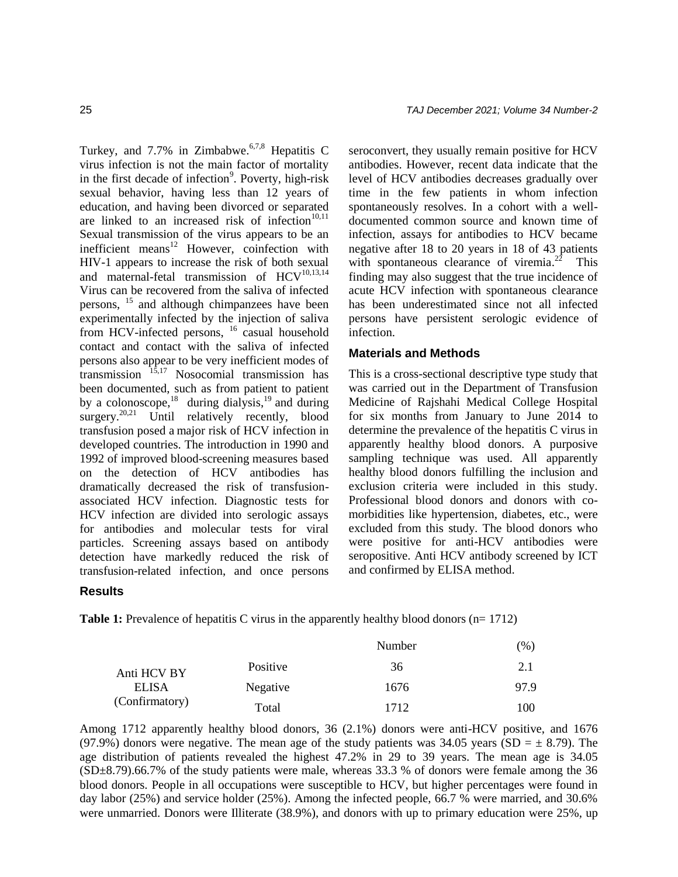Turkey, and 7.7% in Zimbabwe.<sup>6,7,8</sup> Hepatitis C virus infection is not the main factor of mortality in the first decade of infection $\degree$ . Poverty, high-risk sexual behavior, having less than 12 years of education, and having been divorced or separated are linked to an increased risk of infection $10,11$ Sexual transmission of the virus appears to be an inefficient means<sup>12</sup> However, coinfection with HIV-1 appears to increase the risk of both sexual and maternal-fetal transmission of  $HCV^{10,13,14}$ Virus can be recovered from the saliva of infected persons, <sup>15</sup> and although chimpanzees have been experimentally infected by the injection of saliva from HCV-infected persons, <sup>16</sup> casual household contact and contact with the saliva of infected persons also appear to be very inefficient modes of  $\text{transmission}$   $^{15,17}$  Nosocomial transmission has been documented, such as from patient to patient by a colonoscope,<sup>18</sup> during dialysis,<sup>19</sup> and during surgery.<sup>20,21</sup> Until relatively recently, blood transfusion posed a major risk of HCV infection in developed countries. The introduction in 1990 and 1992 of improved blood-screening measures based on the detection of HCV antibodies has dramatically decreased the risk of transfusionassociated HCV infection. Diagnostic tests for HCV infection are divided into serologic assays for antibodies and molecular tests for viral particles. Screening assays based on antibody detection have markedly reduced the risk of transfusion-related infection, and once persons

seroconvert, they usually remain positive for HCV antibodies. However, recent data indicate that the level of HCV antibodies decreases gradually over time in the few patients in whom infection spontaneously resolves. In a cohort with a welldocumented common source and known time of infection, assays for antibodies to HCV became negative after 18 to 20 years in 18 of 43 patients with spontaneous clearance of viremia. $2^2$  This finding may also suggest that the true incidence of acute HCV infection with spontaneous clearance has been underestimated since not all infected persons have persistent serologic evidence of infection.

## **Materials and Methods**

This is a cross-sectional descriptive type study that was carried out in the Department of Transfusion Medicine of Rajshahi Medical College Hospital for six months from January to June 2014 to determine the prevalence of the hepatitis C virus in apparently healthy blood donors. A purposive sampling technique was used. All apparently healthy blood donors fulfilling the inclusion and exclusion criteria were included in this study. Professional blood donors and donors with comorbidities like hypertension, diabetes, etc., were excluded from this study. The blood donors who were positive for anti-HCV antibodies were seropositive. Anti HCV antibody screened by ICT and confirmed by ELISA method.

### **Results**

**Table 1:** Prevalence of hepatitis C virus in the apparently healthy blood donors (n= 1712)

|                |          | Number | $\%$ |
|----------------|----------|--------|------|
| Anti HCV BY    | Positive | 36     | 2.1  |
| <b>ELISA</b>   | Negative | 1676   | 97.9 |
| (Confirmatory) | Total    | 1712   | 100  |

Among 1712 apparently healthy blood donors, 36 (2.1%) donors were anti-HCV positive, and 1676 (97.9%) donors were negative. The mean age of the study patients was 34.05 years (SD =  $\pm$  8.79). The age distribution of patients revealed the highest 47.2% in 29 to 39 years. The mean age is 34.05 (SD±8.79).66.7% of the study patients were male, whereas 33.3 % of donors were female among the 36 blood donors. People in all occupations were susceptible to HCV, but higher percentages were found in day labor (25%) and service holder (25%). Among the infected people, 66.7 % were married, and 30.6% were unmarried. Donors were Illiterate (38.9%), and donors with up to primary education were 25%, up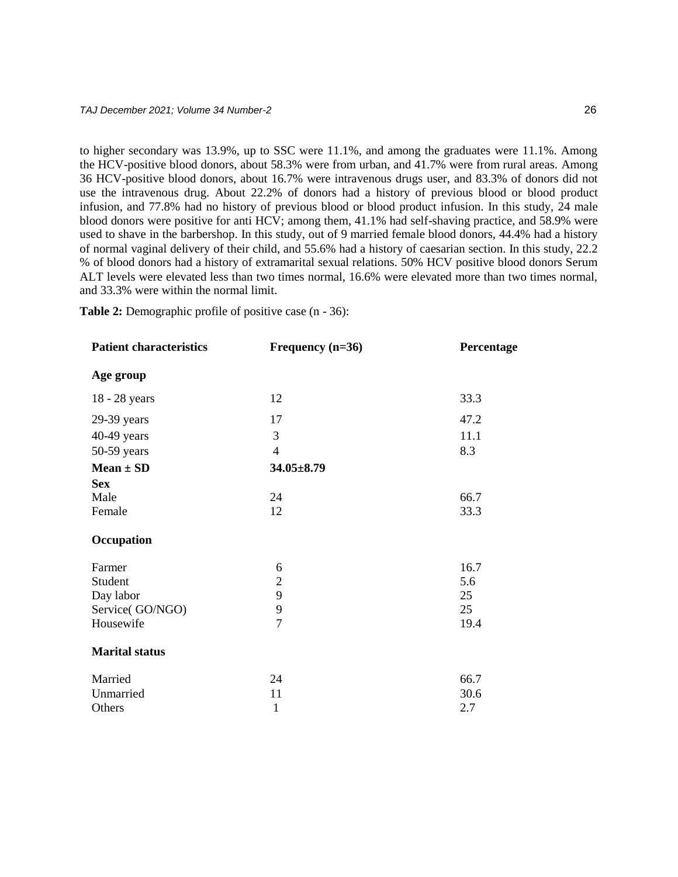to higher secondary was 13.9%, up to SSC were 11.1%, and among the graduates were 11.1%. Among the HCV-positive blood donors, about 58.3% were from urban, and 41.7% were from rural areas. Among 36 HCV-positive blood donors, about 16.7% were intravenous drugs user, and 83.3% of donors did not use the intravenous drug. About 22.2% of donors had a history of previous blood or blood product infusion, and 77.8% had no history of previous blood or blood product infusion. In this study, 24 male blood donors were positive for anti HCV; among them, 41.1% had self-shaving practice, and 58.9% were used to shave in the barbershop. In this study, out of 9 married female blood donors, 44.4% had a history of normal vaginal delivery of their child, and 55.6% had a history of caesarian section. In this study, 22.2 % of blood donors had a history of extramarital sexual relations. 50% HCV positive blood donors Serum ALT levels were elevated less than two times normal, 16.6% were elevated more than two times normal, and 33.3% were within the normal limit.

**Table 2:** Demographic profile of positive case (n - 36):

| <b>Patient characteristics</b> | Frequency $(n=36)$ | Percentage |
|--------------------------------|--------------------|------------|
| Age group                      |                    |            |
| 18 - 28 years                  | 12                 | 33.3       |
| 29-39 years                    | 17                 | 47.2       |
| 40-49 years                    | 3                  | 11.1       |
| 50-59 years                    | $\overline{4}$     | 8.3        |
| $Mean \pm SD$                  | $34.05 \pm 8.79$   |            |
| <b>Sex</b>                     |                    |            |
| Male                           | 24                 | 66.7       |
| Female                         | 12                 | 33.3       |
| Occupation                     |                    |            |
| Farmer                         | 6                  | 16.7       |
| Student                        | $\overline{2}$     | 5.6        |
| Day labor                      | 9                  | 25         |
| Service(GO/NGO)                | 9                  | 25         |
| Housewife                      | $\overline{7}$     | 19.4       |
| <b>Marital status</b>          |                    |            |
| Married                        | 24                 | 66.7       |
| Unmarried                      | 11                 | 30.6       |
| Others                         | 1                  | 2.7        |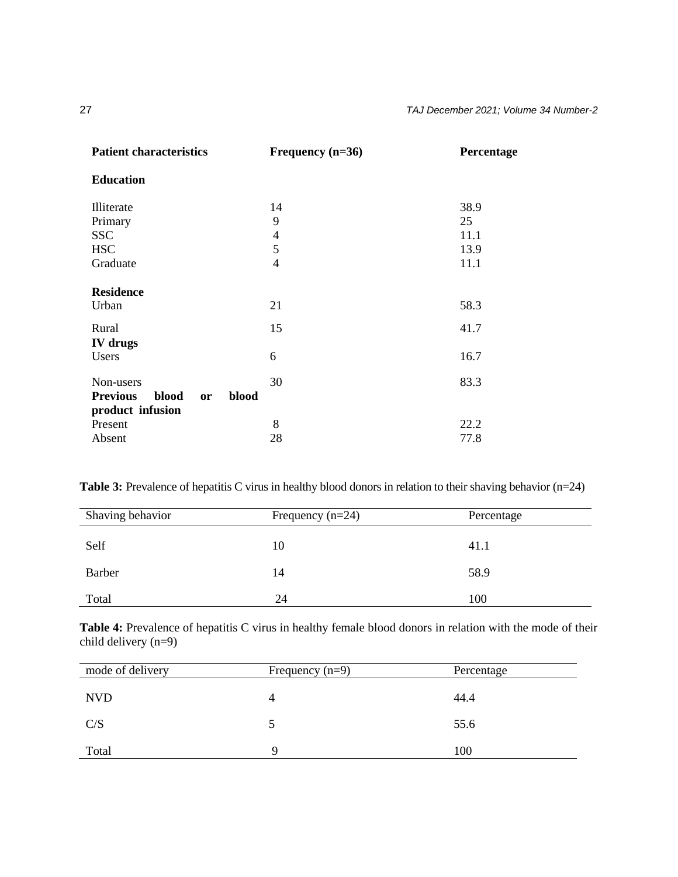| <b>Patient characteristics</b>                 | Frequency $(n=36)$ | Percentage |
|------------------------------------------------|--------------------|------------|
| <b>Education</b>                               |                    |            |
| Illiterate                                     | 14                 | 38.9       |
| Primary                                        | 9                  | 25         |
| <b>SSC</b>                                     | $\overline{4}$     | 11.1       |
| <b>HSC</b>                                     | 5                  | 13.9       |
| Graduate                                       | 4                  | 11.1       |
| <b>Residence</b>                               |                    |            |
| Urban                                          | 21                 | 58.3       |
| Rural                                          | 15                 | 41.7       |
| <b>IV</b> drugs                                |                    |            |
| Users                                          | 6                  | 16.7       |
| Non-users                                      | 30                 | 83.3       |
| <b>Previous</b><br>blood<br>blood<br><b>or</b> |                    |            |
| product infusion                               |                    |            |
| Present                                        | 8                  | 22.2       |
| Absent                                         | 28                 | 77.8       |

**Table 3:** Prevalence of hepatitis C virus in healthy blood donors in relation to their shaving behavior (n=24)

| Shaving behavior | Frequency $(n=24)$ | Percentage |
|------------------|--------------------|------------|
| Self             | 10                 | 41.1       |
| Barber           | 14                 | 58.9       |
| Total            | 24                 | 100        |

Table 4: Prevalence of hepatitis C virus in healthy female blood donors in relation with the mode of their child delivery (n=9)

| mode of delivery | Frequency $(n=9)$ | Percentage |
|------------------|-------------------|------------|
| <b>NVD</b>       |                   | 44.4       |
| C/S              |                   | 55.6       |
| Total            |                   | 100        |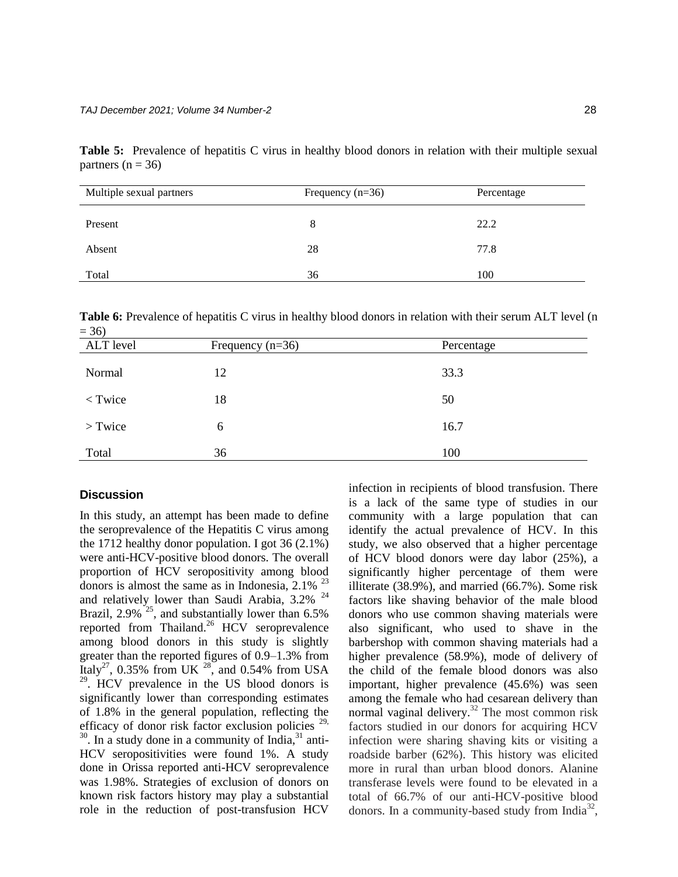**Table 5:** Prevalence of hepatitis C virus in healthy blood donors in relation with their multiple sexual partners ( $n = 36$ )

| Multiple sexual partners | Frequency $(n=36)$ | Percentage |
|--------------------------|--------------------|------------|
| Present                  | 8                  | 22.2       |
| Absent                   | 28                 | 77.8       |
| Total                    | 36                 | 100        |

**Table 6:** Prevalence of hepatitis C virus in healthy blood donors in relation with their serum ALT level (n  $= 36$ 

| ALT level | Frequency $(n=36)$ | Percentage |
|-----------|--------------------|------------|
| Normal    | 12                 | 33.3       |
| $<$ Twice | 18                 | 50         |
| $>$ Twice | 6                  | 16.7       |
| Total     | 36                 | 100        |

## **Discussion**

In this study, an attempt has been made to define the seroprevalence of the Hepatitis C virus among the 1712 healthy donor population. I got 36 (2.1%) were anti-HCV-positive blood donors. The overall proportion of HCV seropositivity among blood donors is almost the same as in Indonesia,  $2.1\%$ <sup>23</sup> and relatively lower than Saudi Arabia, 3.2% <sup>24</sup> Brazil, 2.9%<sup>25</sup>, and substantially lower than 6.5% reported from Thailand.<sup>26</sup> HCV seroprevalence among blood donors in this study is slightly greater than the reported figures of 0.9–1.3% from Italy<sup>27</sup>, 0.35% from UK  $^{28}$ , and 0.54% from USA <sup>29</sup>. HCV prevalence in the US blood donors is significantly lower than corresponding estimates of 1.8% in the general population, reflecting the efficacy of donor risk factor exclusion policies<sup>29,</sup>  $30$ . In a study done in a community of India, $31$  anti-HCV seropositivities were found 1%. A study done in Orissa reported anti-HCV seroprevalence was 1.98%. Strategies of exclusion of donors on known risk factors history may play a substantial role in the reduction of post-transfusion HCV

infection in recipients of blood transfusion. There is a lack of the same type of studies in our community with a large population that can identify the actual prevalence of HCV. In this study, we also observed that a higher percentage of HCV blood donors were day labor (25%), a significantly higher percentage of them were illiterate (38.9%), and married (66.7%). Some risk factors like shaving behavior of the male blood donors who use common shaving materials were also significant, who used to shave in the barbershop with common shaving materials had a higher prevalence (58.9%), mode of delivery of the child of the female blood donors was also important, higher prevalence (45.6%) was seen among the female who had cesarean delivery than normal vaginal delivery.<sup>32</sup> The most common risk factors studied in our donors for acquiring HCV infection were sharing shaving kits or visiting a roadside barber (62%). This history was elicited more in rural than urban blood donors. Alanine transferase levels were found to be elevated in a total of 66.7% of our anti-HCV-positive blood donors. In a community-based study from India<sup>32</sup>,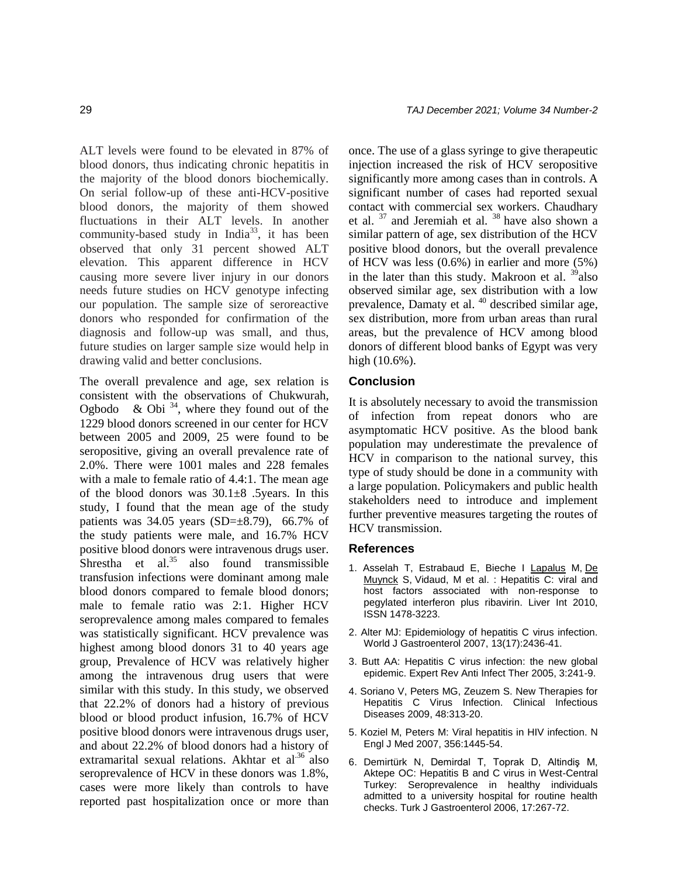ALT levels were found to be elevated in 87% of blood donors, thus indicating chronic hepatitis in the majority of the blood donors biochemically. On serial follow-up of these anti-HCV-positive blood donors, the majority of them showed fluctuations in their ALT levels. In another community-based study in India<sup>33</sup>, it has been observed that only 31 percent showed ALT elevation. This apparent difference in HCV causing more severe liver injury in our donors needs future studies on HCV genotype infecting our population. The sample size of seroreactive donors who responded for confirmation of the diagnosis and follow-up was small, and thus, future studies on larger sample size would help in drawing valid and better conclusions.

The overall prevalence and age, sex relation is consistent with the observations of Chukwurah, Ogbodo & Obi<sup>34</sup>, where they found out of the 1229 blood donors screened in our center for HCV between 2005 and 2009, 25 were found to be seropositive, giving an overall prevalence rate of 2.0%. There were 1001 males and 228 females with a male to female ratio of 4.4:1. The mean age of the blood donors was  $30.1\pm8$  . 5years. In this study, I found that the mean age of the study patients was  $34.05$  years (SD= $\pm$ 8.79), 66.7% of the study patients were male, and 16.7% HCV positive blood donors were intravenous drugs user. Shrestha et al.<sup>35</sup> also found transmissible transfusion infections were dominant among male blood donors compared to female blood donors; male to female ratio was 2:1. Higher HCV seroprevalence among males compared to females was statistically significant. HCV prevalence was highest among blood donors 31 to 40 years age group, Prevalence of HCV was relatively higher among the intravenous drug users that were similar with this study. In this study, we observed that 22.2% of donors had a history of previous blood or blood product infusion, 16.7% of HCV positive blood donors were intravenous drugs user, and about 22.2% of blood donors had a history of extramarital sexual relations. Akhtar et al<sup>36</sup> also seroprevalence of HCV in these donors was 1.8%, cases were more likely than controls to have reported past hospitalization once or more than

once. The use of a glass syringe to give therapeutic injection increased the risk of HCV seropositive significantly more among cases than in controls. A significant number of cases had reported sexual contact with commercial sex workers. Chaudhary et al.  $37$  and Jeremiah et al.  $38$  have also shown a similar pattern of age, sex distribution of the HCV positive blood donors, but the overall prevalence of HCV was less (0.6%) in earlier and more (5%) in the later than this study. Makroon et al.  $\frac{39}{9}$ also observed similar age, sex distribution with a low prevalence, Damaty et al. <sup>40</sup> described similar age, sex distribution, more from urban areas than rural areas, but the prevalence of HCV among blood donors of different blood banks of Egypt was very high (10.6%).

## **Conclusion**

It is absolutely necessary to avoid the transmission of infection from repeat donors who are asymptomatic HCV positive. As the blood bank population may underestimate the prevalence of HCV in comparison to the national survey, this type of study should be done in a community with a large population. Policymakers and public health stakeholders need to introduce and implement further preventive measures targeting the routes of HCV transmission.

### **References**

- 1. Asselah T, Estrabaud E, Bieche I [Lapalus](https://pubmed.ncbi.nlm.nih.gov/?term=Lapalus+M&cauthor_id=20633102) M, [De](https://pubmed.ncbi.nlm.nih.gov/?term=De+Muynck+S&cauthor_id=20633102)  [Muynck](https://pubmed.ncbi.nlm.nih.gov/?term=De+Muynck+S&cauthor_id=20633102) S, [Vidaud,](https://pubmed.ncbi.nlm.nih.gov/?term=Vidaud+M&cauthor_id=20633102) M et al. : Hepatitis C: viral and host factors associated with non-response to pegylated interferon plus ribavirin. Liver Int 2010, ISSN 1478-3223.
- 2. Alter MJ: Epidemiology of hepatitis C virus infection. World J Gastroenterol 2007, 13(17):2436-41.
- 3. Butt AA: Hepatitis C virus infection: the new global epidemic. Expert Rev Anti Infect Ther 2005, 3:241-9.
- 4. Soriano V, Peters MG, Zeuzem S. New Therapies for Hepatitis C Virus Infection. Clinical Infectious Diseases 2009, 48:313-20.
- 5. Koziel M, Peters M: Viral hepatitis in HIV infection. N Engl J Med 2007, 356:1445-54.
- 6. Demirtürk N, Demirdal T, Toprak D, Altindiş M, Aktepe OC: Hepatitis B and C virus in West-Central Turkey: Seroprevalence in healthy individuals admitted to a university hospital for routine health checks. Turk J Gastroenterol 2006, 17:267-72.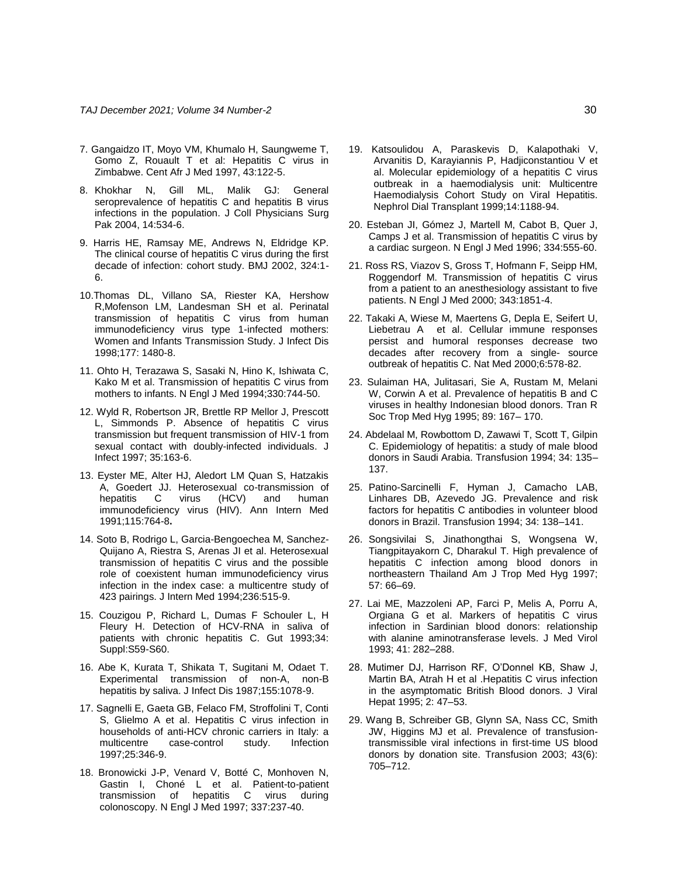- 7. Gangaidzo IT, Moyo VM, Khumalo H, Saungweme T, Gomo Z, Rouault T et al: Hepatitis C virus in Zimbabwe. Cent Afr J Med 1997, 43:122-5.
- 8. Khokhar N, Gill ML, Malik GJ: General seroprevalence of hepatitis C and hepatitis B virus infections in the population. J Coll Physicians Surg Pak 2004, 14:534-6.
- 9. Harris HE, Ramsay ME, Andrews N, Eldridge KP. The clinical course of hepatitis C virus during the first decade of infection: cohort study. BMJ 2002, 324:1- 6.
- 10.Thomas DL, Villano SA, Riester KA, Hershow R,Mofenson LM, Landesman SH et al. Perinatal transmission of hepatitis C virus from human immunodeficiency virus type 1-infected mothers: Women and Infants Transmission Study. J Infect Dis 1998;177: 1480-8.
- 11. Ohto H, Terazawa S, Sasaki N, Hino K, Ishiwata C, Kako M et al. Transmission of hepatitis C virus from mothers to infants. N Engl J Med 1994;330:744-50.
- 12. Wyld R, Robertson JR, Brettle RP Mellor J, Prescott L, Simmonds P. Absence of hepatitis C virus transmission but frequent transmission of HIV-1 from sexual contact with doubly-infected individuals. J Infect 1997; 35:163-6.
- 13. Eyster ME, Alter HJ, Aledort LM Quan S, Hatzakis A, Goedert JJ. Heterosexual co-transmission of hepatitis C virus (HCV) and human immunodeficiency virus (HIV). Ann Intern Med 1991;115:764-8**.**
- 14. Soto B, Rodrigo L, Garcia-Bengoechea M, Sanchez-Quijano A, Riestra S, Arenas JI et al. Heterosexual transmission of hepatitis C virus and the possible role of coexistent human immunodeficiency virus infection in the index case: a multicentre study of 423 pairings. J Intern Med 1994;236:515-9.
- 15. Couzigou P, Richard L, Dumas F Schouler L, H Fleury H. Detection of HCV-RNA in saliva of patients with chronic hepatitis C. Gut 1993;34: Suppl:S59-S60.
- 16. Abe K, Kurata T, Shikata T, Sugitani M, Odaet T. Experimental transmission of non-A, non-B hepatitis by saliva. J Infect Dis 1987;155:1078-9.
- 17. Sagnelli E, Gaeta GB, Felaco FM, Stroffolini T, Conti S, Glielmo A et al. Hepatitis C virus infection in households of anti-HCV chronic carriers in Italy: a multicentre case-control study. Infection 1997;25:346-9.
- 18. Bronowicki J-P, Venard V, Botté C, Monhoven N, Gastin I, Choné L et al. Patient-to-patient transmission of hepatitis C virus during colonoscopy. N Engl J Med 1997; 337:237-40.
- 19. Katsoulidou A, Paraskevis D, Kalapothaki V, Arvanitis D, Karayiannis P, Hadjiconstantiou V et al. Molecular epidemiology of a hepatitis C virus outbreak in a haemodialysis unit: Multicentre Haemodialysis Cohort Study on Viral Hepatitis. Nephrol Dial Transplant 1999;14:1188-94.
- 20. Esteban JI, Gómez J, Martell M, Cabot B, Quer J, Camps J et al. Transmission of hepatitis C virus by a cardiac surgeon. N Engl J Med 1996; 334:555-60.
- 21. Ross RS, Viazov S, Gross T, Hofmann F, Seipp HM, Roggendorf M. Transmission of hepatitis C virus from a patient to an anesthesiology assistant to five patients. N Engl J Med 2000; 343:1851-4.
- 22. Takaki A, Wiese M, Maertens G, Depla E, Seifert U, Liebetrau A et al. Cellular immune responses persist and humoral responses decrease two decades after recovery from a single- source outbreak of hepatitis C. Nat Med 2000;6:578-82.
- 23. Sulaiman HA, Julitasari, Sie A, Rustam M, Melani W, Corwin A et al. Prevalence of hepatitis B and C viruses in healthy Indonesian blood donors. Tran R Soc Trop Med Hyg 1995; 89: 167– 170.
- 24. Abdelaal M, Rowbottom D, Zawawi T, Scott T, Gilpin C. Epidemiology of hepatitis: a study of male blood donors in Saudi Arabia. Transfusion 1994; 34: 135– 137.
- 25. Patino-Sarcinelli F, Hyman J, Camacho LAB, Linhares DB, Azevedo JG. Prevalence and risk factors for hepatitis C antibodies in volunteer blood donors in Brazil. Transfusion 1994; 34: 138–141.
- 26. Songsivilai S, Jinathongthai S, Wongsena W, Tiangpitayakorn C, Dharakul T. High prevalence of hepatitis C infection among blood donors in northeastern Thailand Am J Trop Med Hyg 1997; 57: 66–69.
- 27. Lai ME, Mazzoleni AP, Farci P, Melis A, Porru A, Orgiana G et al. Markers of hepatitis C virus infection in Sardinian blood donors: relationship with alanine aminotransferase levels. J Med Virol 1993; 41: 282–288.
- 28. Mutimer DJ, Harrison RF, O'Donnel KB, Shaw J, Martin BA, Atrah H et al .Hepatitis C virus infection in the asymptomatic British Blood donors. J Viral Hepat 1995; 2: 47–53.
- 29. Wang B, Schreiber GB, Glynn SA, Nass CC, Smith JW, Higgins MJ et al. Prevalence of transfusiontransmissible viral infections in first-time US blood donors by donation site. Transfusion 2003; 43(6): 705–712.